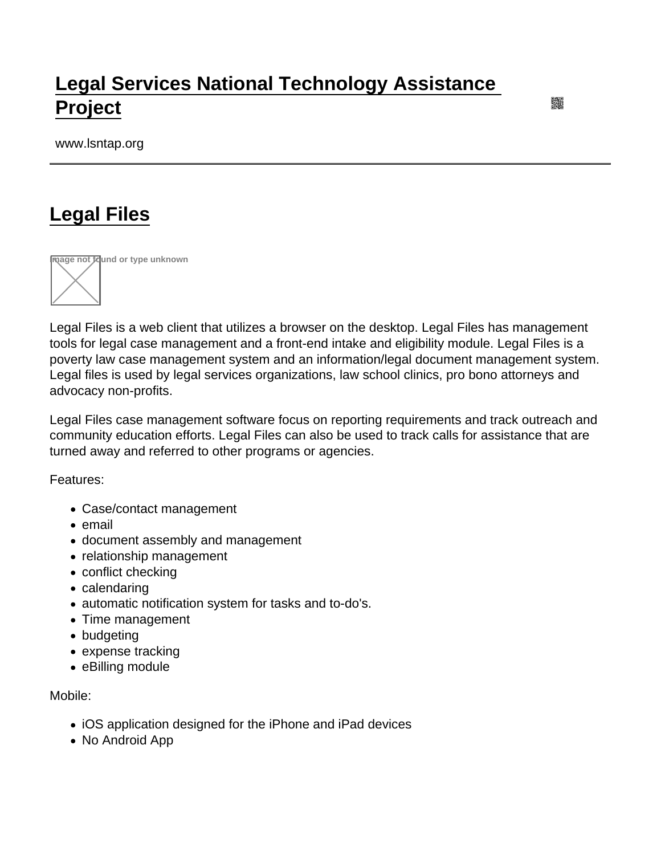## [Legal Services National Technology Assistance](https://www.lsntap.org/)  [Project](https://www.lsntap.org/)

www.lsntap.org

## [Legal Files](https://www.lsntap.org/node/103/legal-files)



Legal Files is a web client that utilizes a browser on the desktop. Legal Files has management tools for legal case management and a front-end intake and eligibility module. Legal Files is a poverty law case management system and an information/legal document management system. Legal files is used by legal services organizations, law school clinics, pro bono attorneys and advocacy non-profits.

Legal Files case management software focus on reporting requirements and track outreach and community education efforts. Legal Files can also be used to track calls for assistance that are turned away and referred to other programs or agencies.

Features:

- Case/contact management
- email
- document assembly and management
- relationship management
- conflict checking
- calendaring
- automatic notification system for tasks and to-do's.
- Time management
- budgeting
- expense tracking
- eBilling module

Mobile:

- iOS application designed for the iPhone and iPad devices
- No Android App